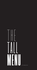# |<br>|<br>T  $\mathbf{H}$ E<br>E<br>E<br>E<br>E l<br>|<br>| A L l<br>L<br>I **MLL**<br> **U**<br>
A beverage menu **E N**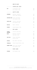| .                                   | SPARKLING WINE                                                           |            |
|-------------------------------------|--------------------------------------------------------------------------|------------|
| <b>BRUT</b>                         | Ti Amo Prosecco, Italy<br>Sula Vineyards, India                          | 950<br>600 |
| .                                   | WHITE WINE                                                               |            |
| <b>CHARDONNAY</b>                   | Blackstone, California<br>Jacob's Creek, Australia                       | 750<br>650 |
|                                     | SAUVIGNON BLANC Terravin, New Zealand<br>Sula Vineyards, India           | 750<br>550 |
| <b>CHENIN BLANC</b>                 | Lutzville, South Africa<br>Sula Vineyards, India                         | 550<br>550 |
| <b>RIESLING</b>                     | Hardy's, Australia                                                       | 650        |
| <b>VIOGNIER</b>                     | Charosa Vineyards, India                                                 | 550        |
|                                     |                                                                          |            |
| .                                   | <b>RED WINE</b>                                                          |            |
| <b>CABERNET</b><br><b>SAUVIGNON</b> | Lutzville, South Africa                                                  | 600        |
| <b>MERLOT</b>                       | Blackstone, California<br>Sula Satori, India                             | 850<br>550 |
| <b>PINOT NOIR</b>                   | Terravin, New Zealand<br>Cono Sur, Chile                                 | 900<br>800 |
| <b>PINOTAGE</b>                     | Niel Joubert, South Africa                                               |            |
| <b>TEMPRANILLO</b>                  | Charosa Vineyards Reserve, India                                         | 700<br>900 |
|                                     | <b>CABERNET SHIRAZ</b> Jacob's Creek, Australia<br>Sula Vineyards, India | 600<br>550 |

| <b>ZINFANDEL</b> |  | Sula Vineyards, India |  |
|------------------|--|-----------------------|--|
|------------------|--|-----------------------|--|

550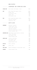## **WINE BY BOTTLE**

## .................. CHAMPAGNE AND SPARKLING WINE

| <b>VINTAGE BRUT</b> | Moet & Chandon 'Dom Perignon', France                               | 27500 |
|---------------------|---------------------------------------------------------------------|-------|
| <b>BRUT</b>         | Moet & Chandon Brut Imperial, France                                | 10500 |
|                     | GH Mumm, France                                                     | 10500 |
|                     | Ti Amo Prosecco, Italy                                              | 4500  |
|                     | Chandon, India                                                      | 3950  |
|                     | Sula Vineyards, India                                               | 3750  |
| <b>ROSE</b>         | Moet & Chandon Brut Imperial, France                                | 13950 |
|                     | Yellow Tail, Australia                                              | 4250  |
|                     | Chandon Brut, India                                                 | 3950  |
| .                   | WHTTE WINE                                                          |       |
| <b>CHARDONNAY</b>   | Blackstone, California                                              | 3500  |
|                     | Tarapaca Piritas, Chile                                             | 3000  |
|                     | Jacob's Creek, Australia                                            | 3000  |
|                     | Golden Mile, Australia                                              | 2750  |
|                     | Yellow Tail Casella Estate, Australia                               | 2750  |
|                     | Fratelli Vineyards, India                                           | 2500  |
|                     | <b>SAUVIGNON BLANC</b> Robert Mondavi Private Selection, California | 8500  |
|                     | Terravin, New Zealand                                               | 3500  |
|                     | Sula Vineyards, India                                               | 2500  |
|                     | Charosa Vineyards, India                                            | 2250  |
| <b>CHENIN BLANC</b> | Lutzville, South Africa                                             | 2500  |
|                     | Sula Vineyards, India                                               | 2500  |
|                     | Four Seasons, India                                                 | 2500  |
|                     | Kandara Vineyards, India                                            | 2250  |
| <b>REISLING</b>     | Hardy's, Australia                                                  | 3000  |
| <b>SOAVE</b>        | Bertani, Italy                                                      | 4000  |
| <b>PINOT BLANC</b>  | Domaines Schlumberger Les Princes Abbes, France                     | 3250  |
| <b>VIOGNIER</b>     | Charosa Vineyards, India                                            | 3000  |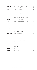|                           | <b>RED WINE</b>                                                                                                     |                              |
|---------------------------|---------------------------------------------------------------------------------------------------------------------|------------------------------|
| <b>CABERNET SAUVIGNON</b> | Domaines Barons De Rothschild Lafite, Chile<br>Lutzville, South Africa                                              | 3500<br>2750                 |
| <b>MERLOT</b>             | Blackstone, California<br>Cono Sur Tocornal, Chile<br>Sula Satori, India                                            | 4000<br>3000<br>2500         |
| <b>PINOT NOIR</b>         | Robert Mondavi, California<br>Terravin, New Zealand<br>Cono Sur, Chile<br>Villa Maria Cellar Selection, New Zealand | 8500<br>4250<br>3750<br>2750 |
| <b>PINOTAGE</b>           | Niel Joubert, South Africa                                                                                          | 3250                         |
| <b>GAMAY</b>              | Joseph Drouhin Beaujolais Village, France                                                                           | 3500                         |
| <b>TEMPRANILLO</b>        | Charosa Vineyards Reserve, India                                                                                    | 4500                         |
| <b>CORVINA</b>            | Valpolicella, Italy                                                                                                 | 3500                         |
| <b>BARBERA</b>            | Gavi DOCG Ricossa, Italy                                                                                            | 4500                         |
| <b>SANGIOVESE</b>         | Fratelli Vineyards, India                                                                                           | 3000                         |

#### REGIONAL BLENDS . . . . . . . . . . . . . . . . . . .

| <b>CABERNET SHIRAZ</b>                 | Jacob's Creek, Australia               | 2750 |
|----------------------------------------|----------------------------------------|------|
|                                        | Golden Mile, Australia                 | 2750 |
|                                        | Sula Vineyards, India                  | 2500 |
|                                        | Grover Vineyards, India                | 2500 |
|                                        | Charosa Vineyards, India               | 2250 |
|                                        |                                        |      |
| <b>CABERNET MERLOT</b>                 | Chateau De Parenchere Bordeaux, France | 3500 |
|                                        | Hardy's, Australia                     | 3500 |
| <b>CABERNET</b><br><b>FRANC SHIRAZ</b> | Fratelli Vineyards, India              | 2750 |

#### ROSÉ WINE . . . . . . . . . . . . . . . . . . .

| <b>GRENACHE</b><br><b>CINSAULT</b> | Tavel Guigal, France  | 7250 |
|------------------------------------|-----------------------|------|
| <b>ZINFANDEL</b>                   | Sula Vineyards, India | 2500 |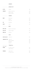## **SPIRITS**

| .                               | APERITIF             |     |
|---------------------------------|----------------------|-----|
| <b>BITTER</b>                   | Campari              | 345 |
| <b>VERMOUTH</b>                 | Martini Extra Dry    | 245 |
|                                 | Martini Rosso        | 245 |
|                                 | Martini Bianco       | 245 |
| .                               | <b>VODKA</b>         |     |
| <b>WHEAT</b>                    | Grey Goose           | 475 |
|                                 | Absolut              | 345 |
|                                 | Ketel One            | 325 |
| <b>RYE</b>                      | Belvedere            | 495 |
| <b>GRAPE</b>                    | Ciroc                | 425 |
| .                               | <b>RUM</b>           |     |
| WHITE RUM                       | Bacardi Carta Blanca | 325 |
| <b>GOLD RUM</b>                 | Captain Morgan       | 275 |
| <b>DARK RUM</b>                 | Old Monk             | 225 |
| .                               | GIN                  |     |
| <b>DISTILLED GIN</b> Hendrick's |                      | 525 |
| <b>LONDON DRY GIN</b>           | Monkey 47            | 495 |
|                                 | Bombay Sapphire      | 395 |
|                                 | Beefeater            | 345 |
|                                 | Gordon's             | 325 |
| .                               | <b>TEQUILA</b>       |     |
| <b>BLUE AGAVE</b>               |                      |     |
| <b>BLANCO</b>                   | El Charro Silver     | 325 |
|                                 | Camino Blanco        | 275 |
| <b>REPOSADO</b>                 | Camino Gold          | 350 |
|                                 | El Charro Gold       | 350 |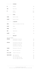| .                    | COGNAC                           |              |
|----------------------|----------------------------------|--------------|
| <b>VS</b>            | Hennessy                         | 425          |
| <b>VSOP</b>          | Rèmy Martin                      | 825          |
| X <sub>0</sub>       | Martell<br>Hennessy              | 1445<br>1250 |
| .                    | FENI                             |              |
| <b>CASHEW</b>        | Big Boss Cashew                  | 150          |
| <b>COCONUT</b>       | Big Boss Coconut                 | 150          |
| .                    | LIQUEUR                          |              |
| <b>CREAM</b>         | Baileys The Original Irish Cream | 395          |
| <b>COFFEE</b>        | Kahlua                           | 375          |
| <b>ORANGE</b>        | Cointreau                        | 395          |
| <b>HERB</b>          | Jägermeister                     | 345          |
| <b>COCONUT</b>       | Malibu                           | 345          |
|                      |                                  |              |
| SINGLE MALT WHISKY   |                                  |              |
| <b>HIGHLAND</b>      | Glenmorangie 12 Years Old        | 475          |
|                      | Glenmorangie The Original        | 450          |
| <b>SPEYSIDE</b>      | The Glenlivet 18 Years Old       | 725          |
|                      | The Glenlivet 15 Years Old       | 695          |
|                      | Glenfiddich 12 Years Old         | 625          |
|                      | The Glenlivet 12 Years Old       | 550          |
| <b>LOWLAND</b>       | Glenkinchie 12 Years Old         | 595          |
| <b>ISLAY</b>         | Caol Ila 12 Years Old            | 475          |
| <b>ISLE OF SKYE</b>  | Talisker 10 Years Old            | 625          |
| <b>INDIAN WHISKY</b> | Amrut Single Malt                | 450          |
|                      | Paul John Brillance              | 425          |
|                      | Paul John Single Malt Bold       | 425          |
|                      | Paul John Single Malt Edited     | 425          |

 $\begin{minipage}{0.9\linewidth} \begin{tabular}{l} \hline \textbf{0.01} \end{tabular} \end{minipage} \begin{tabular}{l} \hline \textbf{0.01} \end{tabular} \end{minipage} \begin{tabular}{l} \hline \textbf{0.01} \end{tabular} \end{minipage} \begin{tabular}{l} \hline \textbf{0.01} \end{tabular} \end{minipage} \begin{tabular}{l} \hline \textbf{0.01} \end{tabular} \end{minipage} \begin{tabular}{l} \hline \textbf{0.01} \end{tabular} \end{minipage} \begin{tabular}{l} \$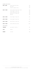| <b>BLENDED SCOTCH WHISKY</b> |                                   |      |
|------------------------------|-----------------------------------|------|
| <b>AGED 8 YEARS</b>          | Johnnie Walker Red Label          | 350  |
|                              | 100 Pipers                        | 325  |
|                              | Teacher's Highland Cream          | 295  |
|                              |                                   |      |
| <b>AGED 12 YEARS</b>         | Johnnie Walker Double Black Label | 545  |
|                              | Chivas Regal 12 Years Old         | 495  |
|                              | Johnnie Walker Black Label        | 425  |
|                              | Ballentine's 12 Years Old         | 345  |
|                              | J&B Rare                          | 325  |
| <b>AGED 15 YEARS</b>         | Chivas Regal 15 Years Old         | 545  |
|                              |                                   |      |
| <b>AGED 18 YEARS</b>         | Chivas Regal 18 Years Old         | 725  |
| <b>AGED 21 YEARS</b>         | Royal Salute 21 Years Old         | 1245 |
| <b>AGED 25 YEARS</b>         | Johnnie Walker Blue Label         | 1750 |
| OTHER WHISKEY                |                                   |      |
| <b>TENNESSEE</b>             | Jack Daniel's Old No. 7           | 425  |
| <b>IRISH</b>                 | Jameson                           | 425  |
| <b>BOURBON</b>               | Jim Beam                          | 400  |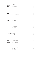| .<br>IMPORTED                   | <b>BEER</b>          |     |
|---------------------------------|----------------------|-----|
| <b>LAGER</b>                    | Corona Extra         | 495 |
|                                 | Asahi Super Dry      | 475 |
| <b>INDIAN WHEAT</b> Bira White  |                      | 350 |
|                                 | Bira Blond           | 325 |
| <b>LAGER</b>                    | Heineken             | 325 |
|                                 | Kingfisher Premium   | 250 |
| <b>PALE LAGER</b>               | Budweiser            | 350 |
|                                 | Kingfisher Ultra     | 275 |
| <b>PILSNER</b>                  | Carlsberg            | 275 |
| .                               | <b>COCKTAILS</b>     |     |
| <b>SCOTCH WHISKY</b> Rusty Nail |                      | 650 |
|                                 | Old Fashioned        | 650 |
|                                 | Whisky Sour          | 650 |
| <b>VODKA</b>                    | Screwdriver          | 650 |
|                                 | Caipiroska           | 650 |
| <b>SPARKLING WINE</b>           | Mimosa               | 650 |
|                                 | Bellini              | 650 |
| GIN                             | Negroni              | 650 |
|                                 | Gimlet               | 650 |
| <b>TEQUILA</b>                  | Classic Margarita    | 650 |
| <b>VODKA/GIN</b>                | Classic Martini      | 650 |
|                                 | Dirty Martini        | 650 |
| <b>RUM</b>                      | Daiquiri             | 650 |
|                                 | Long Island Iced Tea | 650 |
|                                 | Mojito               | 650 |
|                                 | Pina Colada          | 650 |